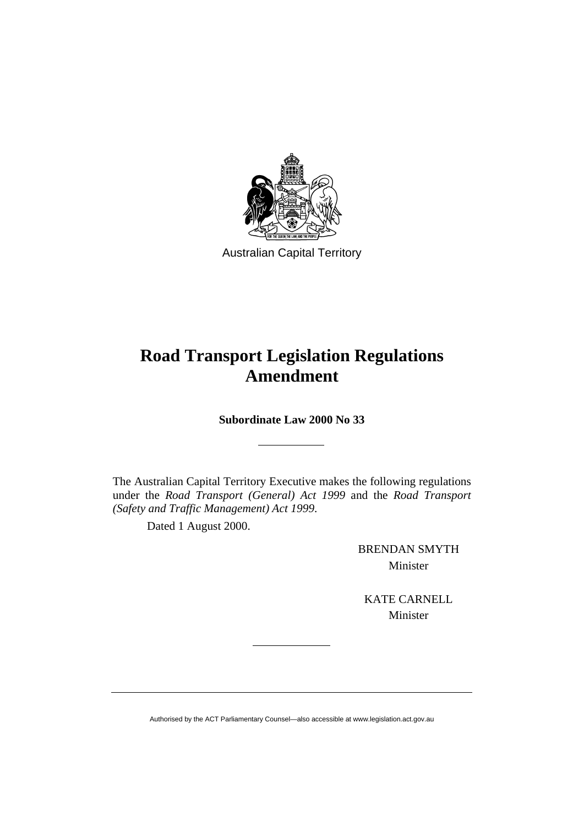

Australian Capital Territory

## **Road Transport Legislation Regulations Amendment**

**Subordinate Law 2000 No 33** 

The Australian Capital Territory Executive makes the following regulations under the *Road Transport (General) Act 1999* and the *Road Transport (Safety and Traffic Management) Act 1999*.

Dated 1 August 2000.

BRENDAN SMYTH Minister

KATE CARNELL Minister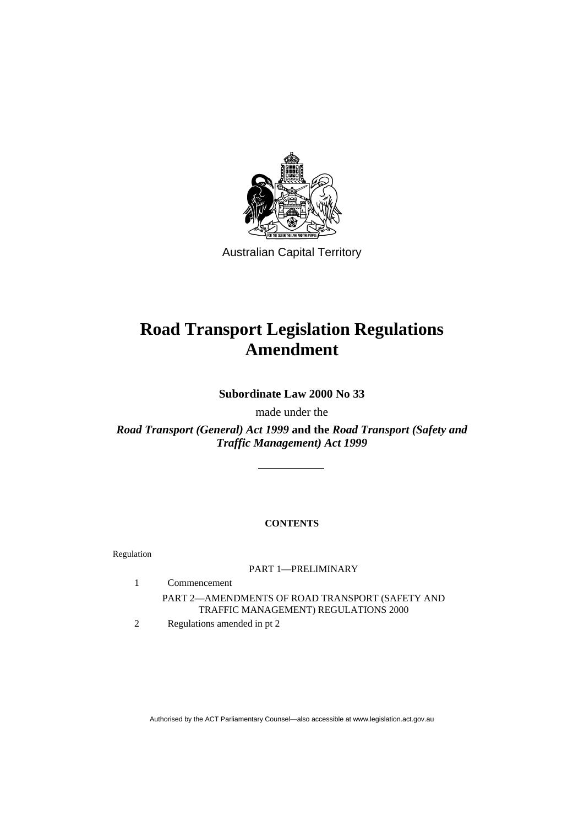

Australian Capital Territory

# **Road Transport Legislation Regulations Amendment**

**Subordinate Law 2000 No 33** 

made under the

*Road Transport (General) Act 1999* **and the** *Road Transport (Safety and Traffic Management) Act 1999*

## **CONTENTS**

Regulation

### PART 1—PRELIMINARY

- 1 Commencement PART 2—AMENDMENTS OF ROAD TRANSPORT (SAFETY AND TRAFFIC MANAGEMENT) REGULATIONS 2000
- 2 Regulations amended in pt 2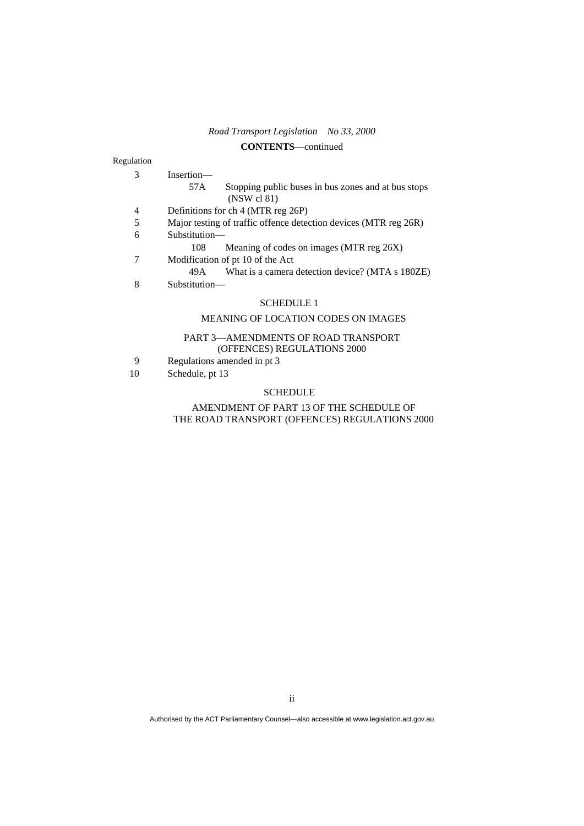#### **CONTENTS**—continued

#### Regulation

| 3 | Insertion—                                                                |  |  |  |
|---|---------------------------------------------------------------------------|--|--|--|
|   | Stopping public buses in bus zones and at bus stops<br>57A<br>(NSW cl 81) |  |  |  |
| 4 | Definitions for ch 4 (MTR reg 26P)                                        |  |  |  |
| 5 | Major testing of traffic offence detection devices (MTR reg 26R)          |  |  |  |
| 6 | Substitution—                                                             |  |  |  |
|   | Meaning of codes on images (MTR reg 26X)<br>108                           |  |  |  |
| 7 | Modification of pt 10 of the Act                                          |  |  |  |
|   | What is a camera detection device? (MTA s 180ZE)<br>49A —                 |  |  |  |
| 8 | Substitution—                                                             |  |  |  |
|   | <b>SCHEDULE 1</b>                                                         |  |  |  |
|   | <b>MEANING OF LOCATION CODES ON IMAGES</b>                                |  |  |  |
|   | PART 3-AMENDMENTS OF ROAD TRANSPORT                                       |  |  |  |

## (OFFENCES) REGULATIONS 2000

- 9 Regulations amended in pt 3<br>10 Schedule, pt 13
- Schedule, pt 13

#### SCHEDULE

#### AMENDMENT OF PART 13 OF THE SCHEDULE OF THE ROAD TRANSPORT (OFFENCES) REGULATIONS 2000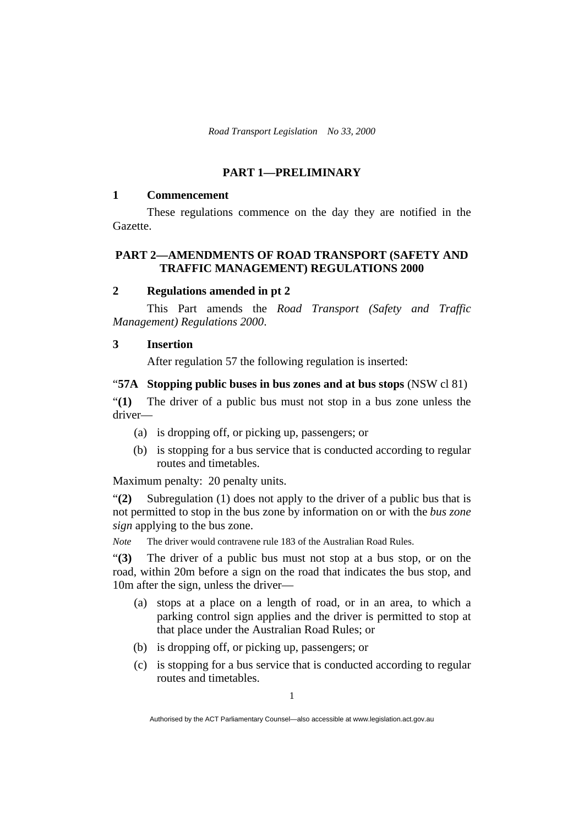#### **PART 1—PRELIMINARY**

#### **1 Commencement**

 These regulations commence on the day they are notified in the Gazette.

## **PART 2—AMENDMENTS OF ROAD TRANSPORT (SAFETY AND TRAFFIC MANAGEMENT) REGULATIONS 2000**

#### **2 Regulations amended in pt 2**

This Part amends the *Road Transport (Safety and Traffic Management) Regulations 2000*.

#### **3 Insertion**

After regulation 57 the following regulation is inserted:

#### "**57A Stopping public buses in bus zones and at bus stops** (NSW cl 81)

"**(1)** The driver of a public bus must not stop in a bus zone unless the driver—

- (a) is dropping off, or picking up, passengers; or
- (b) is stopping for a bus service that is conducted according to regular routes and timetables.

Maximum penalty: 20 penalty units.

"**(2)** Subregulation (1) does not apply to the driver of a public bus that is not permitted to stop in the bus zone by information on or with the *bus zone sign* applying to the bus zone.

*Note* The driver would contravene rule 183 of the Australian Road Rules.

"**(3)** The driver of a public bus must not stop at a bus stop, or on the road, within 20m before a sign on the road that indicates the bus stop, and 10m after the sign, unless the driver—

- (a) stops at a place on a length of road, or in an area, to which a parking control sign applies and the driver is permitted to stop at that place under the Australian Road Rules; or
- (b) is dropping off, or picking up, passengers; or
- (c) is stopping for a bus service that is conducted according to regular routes and timetables.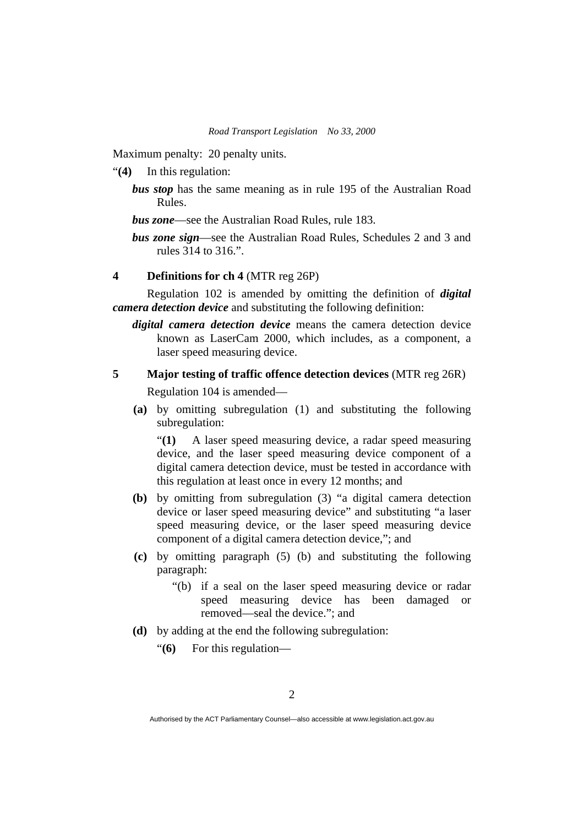Maximum penalty: 20 penalty units.

"**(4)** In this regulation:

*bus stop* has the same meaning as in rule 195 of the Australian Road Rules.

*bus zone*—see the Australian Road Rules, rule 183.

*bus zone sign*—see the Australian Road Rules, Schedules 2 and 3 and rules 314 to 316.".

#### **4 Definitions for ch 4** (MTR reg 26P)

Regulation 102 is amended by omitting the definition of *digital camera detection device* and substituting the following definition:

*digital camera detection device* means the camera detection device known as LaserCam 2000, which includes, as a component, a laser speed measuring device.

# **5 Major testing of traffic offence detection devices** (MTR reg 26R)

Regulation 104 is amended—

**(a)** by omitting subregulation (1) and substituting the following subregulation:

"**(1)** A laser speed measuring device, a radar speed measuring device, and the laser speed measuring device component of a digital camera detection device, must be tested in accordance with this regulation at least once in every 12 months; and

- **(b)** by omitting from subregulation (3) "a digital camera detection device or laser speed measuring device" and substituting "a laser speed measuring device, or the laser speed measuring device component of a digital camera detection device,"; and
- **(c)** by omitting paragraph (5) (b) and substituting the following paragraph:
	- "(b) if a seal on the laser speed measuring device or radar speed measuring device has been damaged or removed—seal the device."; and
- **(d)** by adding at the end the following subregulation:
	- "**(6)** For this regulation—

Authorised by the ACT Parliamentary Counsel—also accessible at www.legislation.act.gov.au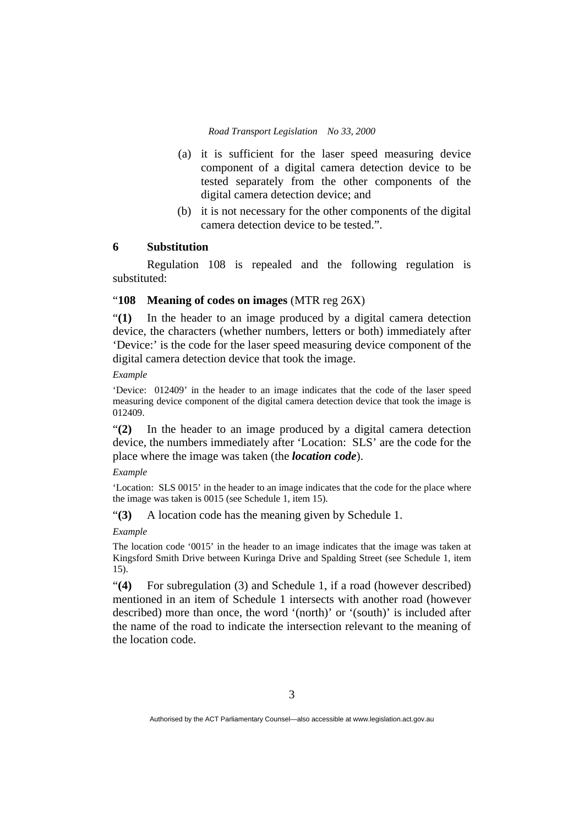- (a) it is sufficient for the laser speed measuring device component of a digital camera detection device to be tested separately from the other components of the digital camera detection device; and
- (b) it is not necessary for the other components of the digital camera detection device to be tested.".

#### **6 Substitution**

Regulation 108 is repealed and the following regulation is substituted:

#### "**108 Meaning of codes on images** (MTR reg 26X)

"**(1)** In the header to an image produced by a digital camera detection device, the characters (whether numbers, letters or both) immediately after 'Device:' is the code for the laser speed measuring device component of the digital camera detection device that took the image.

#### *Example*

'Device: 012409' in the header to an image indicates that the code of the laser speed measuring device component of the digital camera detection device that took the image is 012409.

"**(2)** In the header to an image produced by a digital camera detection device, the numbers immediately after 'Location: SLS' are the code for the place where the image was taken (the *location code*).

#### *Example*

'Location: SLS 0015' in the header to an image indicates that the code for the place where the image was taken is 0015 (see Schedule 1, item 15).

"**(3)** A location code has the meaning given by Schedule 1.

#### *Example*

The location code '0015' in the header to an image indicates that the image was taken at Kingsford Smith Drive between Kuringa Drive and Spalding Street (see Schedule 1, item 15).

"**(4)** For subregulation (3) and Schedule 1, if a road (however described) mentioned in an item of Schedule 1 intersects with another road (however described) more than once, the word '(north)' or '(south)' is included after the name of the road to indicate the intersection relevant to the meaning of the location code.

Authorised by the ACT Parliamentary Counsel—also accessible at www.legislation.act.gov.au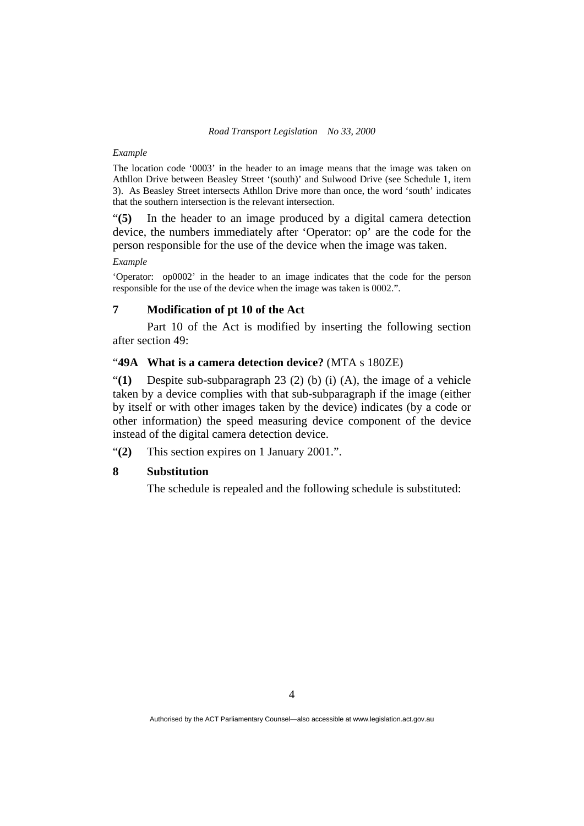#### *Example*

The location code '0003' in the header to an image means that the image was taken on Athllon Drive between Beasley Street '(south)' and Sulwood Drive (see Schedule 1, item 3). As Beasley Street intersects Athllon Drive more than once, the word 'south' indicates that the southern intersection is the relevant intersection.

"**(5)** In the header to an image produced by a digital camera detection device, the numbers immediately after 'Operator: op' are the code for the person responsible for the use of the device when the image was taken.

#### *Example*

'Operator: op0002' in the header to an image indicates that the code for the person responsible for the use of the device when the image was taken is 0002.".

#### **7 Modification of pt 10 of the Act**

Part 10 of the Act is modified by inserting the following section after section 49:

#### "**49A What is a camera detection device?** (MTA s 180ZE)

"**(1)** Despite sub-subparagraph 23 (2) (b) (i) (A), the image of a vehicle taken by a device complies with that sub-subparagraph if the image (either by itself or with other images taken by the device) indicates (by a code or other information) the speed measuring device component of the device instead of the digital camera detection device.

"**(2)** This section expires on 1 January 2001.".

#### **8 Substitution**

The schedule is repealed and the following schedule is substituted: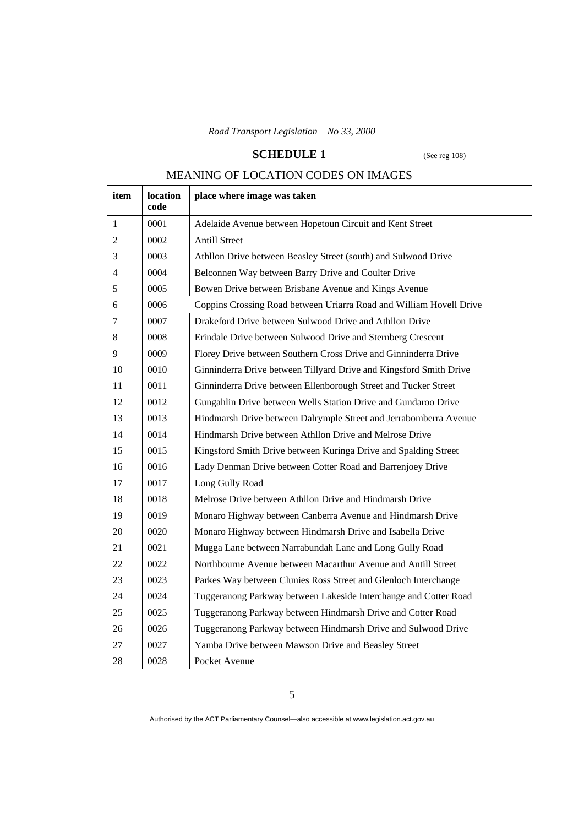## **SCHEDULE 1** (See reg 108)

## MEANING OF LOCATION CODES ON IMAGES

| item           | location<br>code | place where image was taken                                         |
|----------------|------------------|---------------------------------------------------------------------|
| $\mathbf{1}$   | 0001             | Adelaide Avenue between Hopetoun Circuit and Kent Street            |
| $\overline{2}$ | 0002             | <b>Antill Street</b>                                                |
| 3              | 0003             | Athllon Drive between Beasley Street (south) and Sulwood Drive      |
| $\overline{4}$ | 0004             | Belconnen Way between Barry Drive and Coulter Drive                 |
| 5              | 0005             | Bowen Drive between Brisbane Avenue and Kings Avenue                |
| 6              | 0006             | Coppins Crossing Road between Uriarra Road and William Hovell Drive |
| 7              | 0007             | Drakeford Drive between Sulwood Drive and Athllon Drive             |
| 8              | 0008             | Erindale Drive between Sulwood Drive and Sternberg Crescent         |
| 9              | 0009             | Florey Drive between Southern Cross Drive and Ginninderra Drive     |
| 10             | 0010             | Ginninderra Drive between Tillyard Drive and Kingsford Smith Drive  |
| 11             | 0011             | Ginninderra Drive between Ellenborough Street and Tucker Street     |
| 12             | 0012             | Gungahlin Drive between Wells Station Drive and Gundaroo Drive      |
| 13             | 0013             | Hindmarsh Drive between Dalrymple Street and Jerrabomberra Avenue   |
| 14             | 0014             | Hindmarsh Drive between Athllon Drive and Melrose Drive             |
| 15             | 0015             | Kingsford Smith Drive between Kuringa Drive and Spalding Street     |
| 16             | 0016             | Lady Denman Drive between Cotter Road and Barrenjoey Drive          |
| 17             | 0017             | Long Gully Road                                                     |
| 18             | 0018             | Melrose Drive between Athllon Drive and Hindmarsh Drive             |
| 19             | 0019             | Monaro Highway between Canberra Avenue and Hindmarsh Drive          |
| 20             | 0020             | Monaro Highway between Hindmarsh Drive and Isabella Drive           |
| 21             | 0021             | Mugga Lane between Narrabundah Lane and Long Gully Road             |
| 22             | 0022             | Northbourne Avenue between Macarthur Avenue and Antill Street       |
| 23             | 0023             | Parkes Way between Clunies Ross Street and Glenloch Interchange     |
| 24             | 0024             | Tuggeranong Parkway between Lakeside Interchange and Cotter Road    |
| 25             | 0025             | Tuggeranong Parkway between Hindmarsh Drive and Cotter Road         |
| 26             | 0026             | Tuggeranong Parkway between Hindmarsh Drive and Sulwood Drive       |
| 27             | 0027             | Yamba Drive between Mawson Drive and Beasley Street                 |
| 28             | 0028             | Pocket Avenue                                                       |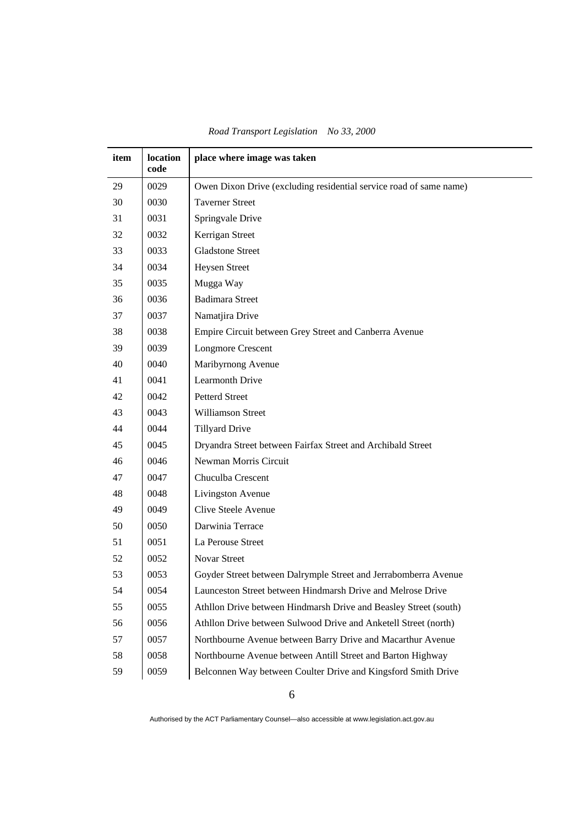| item | location<br>code | place where image was taken                                        |
|------|------------------|--------------------------------------------------------------------|
| 29   | 0029             | Owen Dixon Drive (excluding residential service road of same name) |
| 30   | 0030             | <b>Taverner Street</b>                                             |
| 31   | 0031             | Springvale Drive                                                   |
| 32   | 0032             | Kerrigan Street                                                    |
| 33   | 0033             | <b>Gladstone Street</b>                                            |
| 34   | 0034             | Heysen Street                                                      |
| 35   | 0035             | Mugga Way                                                          |
| 36   | 0036             | <b>Badimara Street</b>                                             |
| 37   | 0037             | Namatjira Drive                                                    |
| 38   | 0038             | Empire Circuit between Grey Street and Canberra Avenue             |
| 39   | 0039             | <b>Longmore Crescent</b>                                           |
| 40   | 0040             | Maribyrnong Avenue                                                 |
| 41   | 0041             | <b>Learmonth Drive</b>                                             |
| 42   | 0042             | <b>Petterd Street</b>                                              |
| 43   | 0043             | Williamson Street                                                  |
| 44   | 0044             | <b>Tillyard Drive</b>                                              |
| 45   | 0045             | Dryandra Street between Fairfax Street and Archibald Street        |
| 46   | 0046             | Newman Morris Circuit                                              |
| 47   | 0047             | Chuculba Crescent                                                  |
| 48   | 0048             | Livingston Avenue                                                  |
| 49   | 0049             | Clive Steele Avenue                                                |
| 50   | 0050             | Darwinia Terrace                                                   |
| 51   | 0051             | La Perouse Street                                                  |
| 52   | 0052             | Novar Street                                                       |
| 53   | 0053             | Goyder Street between Dalrymple Street and Jerrabomberra Avenue    |
| 54   | 0054             | Launceston Street between Hindmarsh Drive and Melrose Drive        |
| 55   | 0055             | Athllon Drive between Hindmarsh Drive and Beasley Street (south)   |
| 56   | 0056             | Athllon Drive between Sulwood Drive and Anketell Street (north)    |
| 57   | 0057             | Northbourne Avenue between Barry Drive and Macarthur Avenue        |
| 58   | 0058             | Northbourne Avenue between Antill Street and Barton Highway        |
| 59   | 0059             | Belconnen Way between Coulter Drive and Kingsford Smith Drive      |

*Road Transport Legislation No 33, 2000*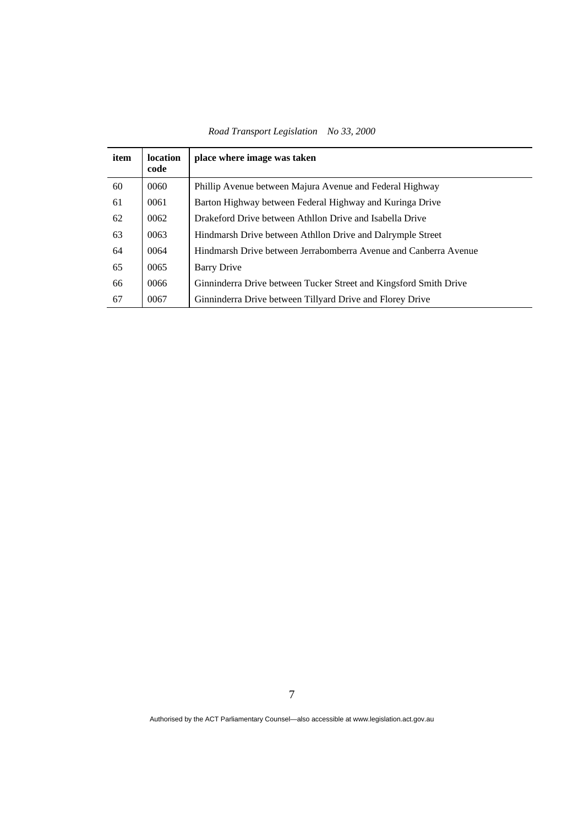*Road Transport Legislation No 33, 2000* 

| item | <b>location</b><br>code | place where image was taken                                       |
|------|-------------------------|-------------------------------------------------------------------|
| 60   | 0060                    | Phillip Avenue between Majura Avenue and Federal Highway          |
| 61   | 0061                    | Barton Highway between Federal Highway and Kuringa Drive          |
| 62   | 0062                    | Drakeford Drive between Athllon Drive and Isabella Drive          |
| 63   | 0063                    | Hindmarsh Drive between Athllon Drive and Dalrymple Street        |
| 64   | 0064                    | Hindmarsh Drive between Jerrabomberra Avenue and Canberra Avenue  |
| 65   | 0065                    | Barry Drive                                                       |
| 66   | 0066                    | Ginninderra Drive between Tucker Street and Kingsford Smith Drive |
| 67   | 0067                    | Ginninderra Drive between Tillyard Drive and Florey Drive         |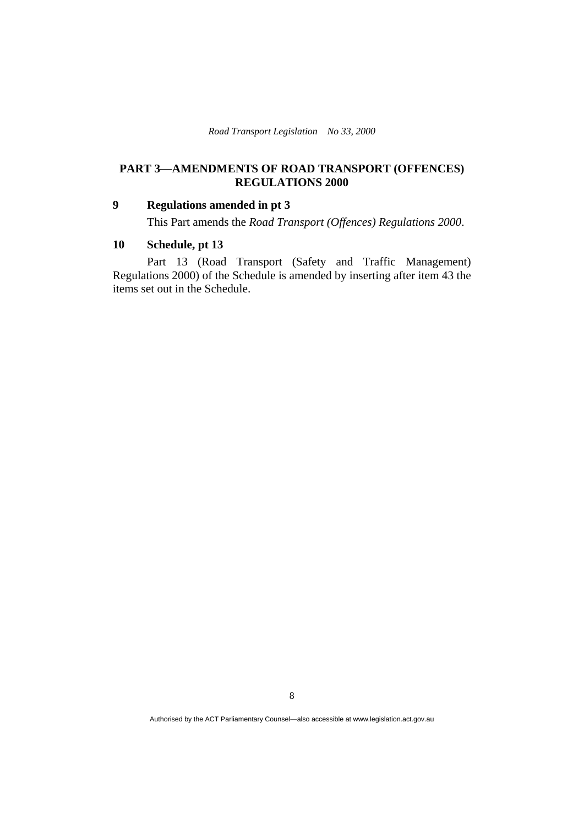## **PART 3—AMENDMENTS OF ROAD TRANSPORT (OFFENCES) REGULATIONS 2000**

#### **9 Regulations amended in pt 3**

This Part amends the *Road Transport (Offences) Regulations 2000*.

## **10 Schedule, pt 13**

 Part 13 (Road Transport (Safety and Traffic Management) Regulations 2000) of the Schedule is amended by inserting after item 43 the items set out in the Schedule.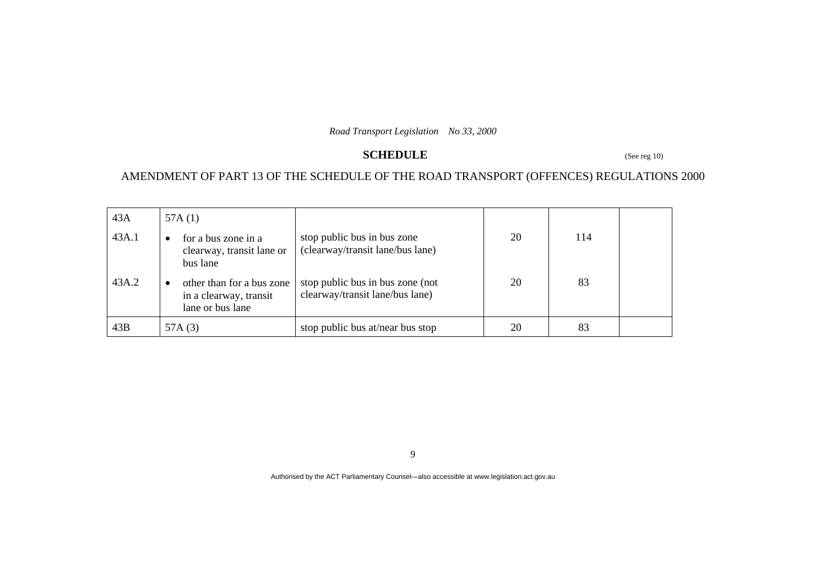## **SCHEDULE** (See reg 10)

## AMENDMENT OF PART 13 OF THE SCHEDULE OF THE ROAD TRANSPORT (OFFENCES) REGULATIONS 2000

| 43A   | 57A $(1)$                                                                 |                                                                     |    |     |  |
|-------|---------------------------------------------------------------------------|---------------------------------------------------------------------|----|-----|--|
| 43A.1 | for a bus zone in a<br>$\bullet$<br>clearway, transit lane or<br>bus lane | stop public bus in bus zone<br>(clearway/transit lane/bus lane)     | 20 | 114 |  |
| 43A.2 | other than for a bus zone<br>in a clearway, transit<br>lane or bus lane   | stop public bus in bus zone (not<br>clearway/transit lane/bus lane) | 20 | 83  |  |
| 43B   | 57A $(3)$                                                                 | stop public bus at/near bus stop                                    | 20 | 83  |  |

9